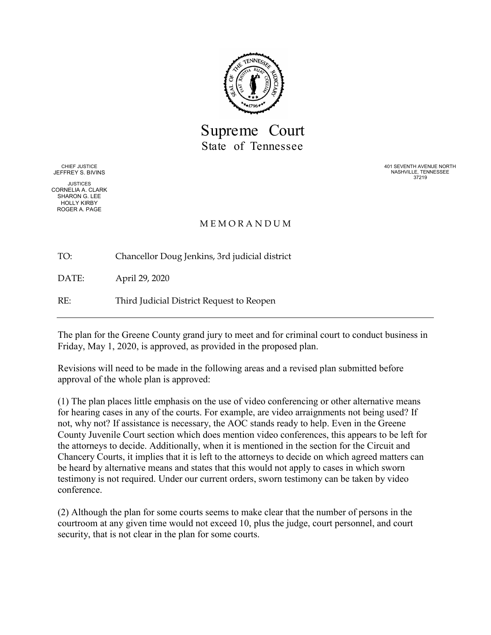

Supreme Court State of Tennessee

CHIEF JUSTICE JEFFREY S. BIVINS

JUSTICES CORNELIA A. CLARK SHARON G. LEE HOLLY KIRBY ROGER A. PAGE

401 SEVENTH AVENUE NORTH NASHVILLE, TENNESSEE 37219

#### M E M O R A N D U M

TO: Chancellor Doug Jenkins, 3rd judicial district

DATE: April 29, 2020

RE: Third Judicial District Request to Reopen

The plan for the Greene County grand jury to meet and for criminal court to conduct business in Friday, May 1, 2020, is approved, as provided in the proposed plan.

Revisions will need to be made in the following areas and a revised plan submitted before approval of the whole plan is approved:

(1) The plan places little emphasis on the use of video conferencing or other alternative means for hearing cases in any of the courts. For example, are video arraignments not being used? If not, why not? If assistance is necessary, the AOC stands ready to help. Even in the Greene County Juvenile Court section which does mention video conferences, this appears to be left for the attorneys to decide. Additionally, when it is mentioned in the section for the Circuit and Chancery Courts, it implies that it is left to the attorneys to decide on which agreed matters can be heard by alternative means and states that this would not apply to cases in which sworn testimony is not required. Under our current orders, sworn testimony can be taken by video conference.

(2) Although the plan for some courts seems to make clear that the number of persons in the courtroom at any given time would not exceed 10, plus the judge, court personnel, and court security, that is not clear in the plan for some courts.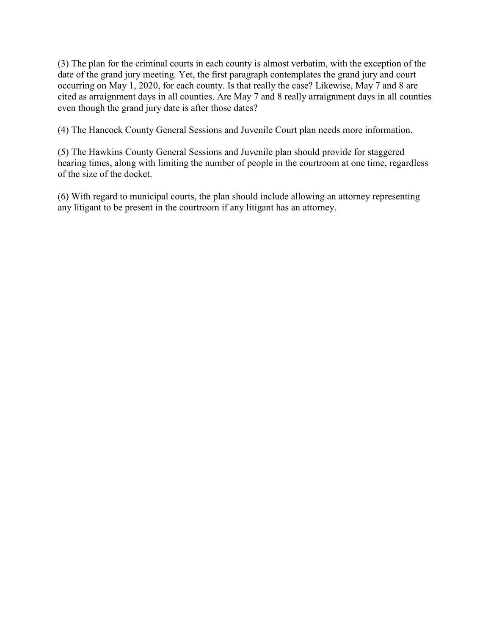(3) The plan for the criminal courts in each county is almost verbatim, with the exception of the date of the grand jury meeting. Yet, the first paragraph contemplates the grand jury and court occurring on May 1, 2020, for each county. Is that really the case? Likewise, May 7 and 8 are cited as arraignment days in all counties. Are May 7 and 8 really arraignment days in all counties even though the grand jury date is after those dates?

(4) The Hancock County General Sessions and Juvenile Court plan needs more information.

(5) The Hawkins County General Sessions and Juvenile plan should provide for staggered hearing times, along with limiting the number of people in the courtroom at one time, regardless of the size of the docket.

(6) With regard to municipal courts, the plan should include allowing an attorney representing any litigant to be present in the courtroom if any litigant has an attorney.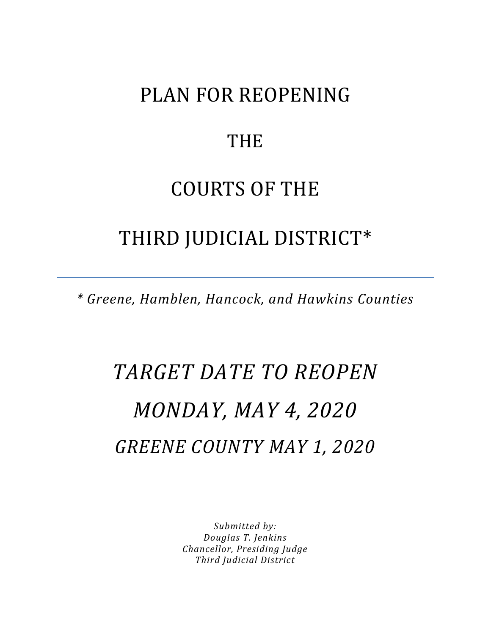## PLAN FOR REOPENING

### **THE**

# COURTS OF THE

## THIRD JUDICIAL DISTRICT\*

*\* Greene, Hamblen, Hancock, and Hawkins Counties*

# *TARGET DATE TO REOPEN MONDAY, MAY 4, 2020 GREENE COUNTY MAY 1, 2020*

*Submitted by: Douglas T. Jenkins Chancellor, Presiding Judge Third Judicial District*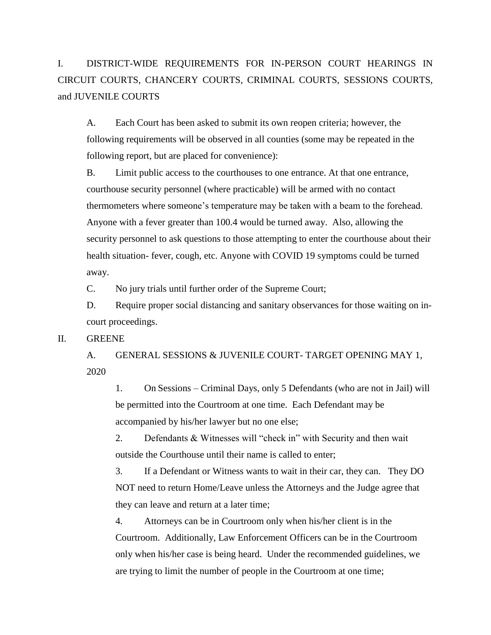I. DISTRICT-WIDE REQUIREMENTS FOR IN-PERSON COURT HEARINGS IN CIRCUIT COURTS, CHANCERY COURTS, CRIMINAL COURTS, SESSIONS COURTS, and JUVENILE COURTS

A. Each Court has been asked to submit its own reopen criteria; however, the following requirements will be observed in all counties (some may be repeated in the following report, but are placed for convenience):

B. Limit public access to the courthouses to one entrance. At that one entrance, courthouse security personnel (where practicable) will be armed with no contact thermometers where someone's temperature may be taken with a beam to the forehead. Anyone with a fever greater than 100.4 would be turned away. Also, allowing the security personnel to ask questions to those attempting to enter the courthouse about their health situation- fever, cough, etc. Anyone with COVID 19 symptoms could be turned away.

C. No jury trials until further order of the Supreme Court;

D. Require proper social distancing and sanitary observances for those waiting on incourt proceedings.

II. GREENE

A. GENERAL SESSIONS & JUVENILE COURT- TARGET OPENING MAY 1, 2020

1. On Sessions – Criminal Days, only 5 Defendants (who are not in Jail) will be permitted into the Courtroom at one time. Each Defendant may be accompanied by his/her lawyer but no one else;

2. Defendants & Witnesses will "check in" with Security and then wait outside the Courthouse until their name is called to enter;

3. If a Defendant or Witness wants to wait in their car, they can. They DO NOT need to return Home/Leave unless the Attorneys and the Judge agree that they can leave and return at a later time;

4. Attorneys can be in Courtroom only when his/her client is in the Courtroom. Additionally, Law Enforcement Officers can be in the Courtroom only when his/her case is being heard. Under the recommended guidelines, we are trying to limit the number of people in the Courtroom at one time;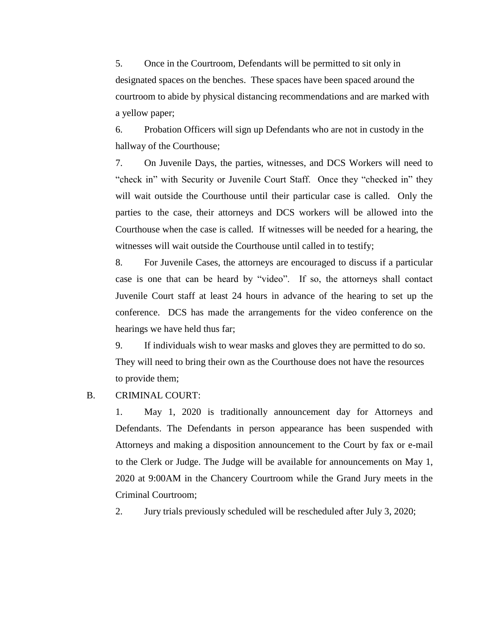5. Once in the Courtroom, Defendants will be permitted to sit only in designated spaces on the benches. These spaces have been spaced around the courtroom to abide by physical distancing recommendations and are marked with a yellow paper;

6. Probation Officers will sign up Defendants who are not in custody in the hallway of the Courthouse;

7. On Juvenile Days, the parties, witnesses, and DCS Workers will need to "check in" with Security or Juvenile Court Staff. Once they "checked in" they will wait outside the Courthouse until their particular case is called. Only the parties to the case, their attorneys and DCS workers will be allowed into the Courthouse when the case is called. If witnesses will be needed for a hearing, the witnesses will wait outside the Courthouse until called in to testify;

8. For Juvenile Cases, the attorneys are encouraged to discuss if a particular case is one that can be heard by "video". If so, the attorneys shall contact Juvenile Court staff at least 24 hours in advance of the hearing to set up the conference. DCS has made the arrangements for the video conference on the hearings we have held thus far;

9. If individuals wish to wear masks and gloves they are permitted to do so. They will need to bring their own as the Courthouse does not have the resources to provide them;

#### B. CRIMINAL COURT:

1. May 1, 2020 is traditionally announcement day for Attorneys and Defendants. The Defendants in person appearance has been suspended with Attorneys and making a disposition announcement to the Court by fax or e-mail to the Clerk or Judge. The Judge will be available for announcements on May 1, 2020 at 9:00AM in the Chancery Courtroom while the Grand Jury meets in the Criminal Courtroom;

2. Jury trials previously scheduled will be rescheduled after July 3, 2020;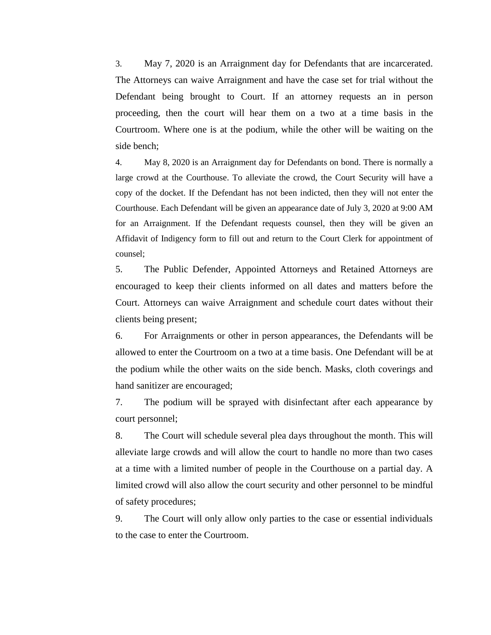3. May 7, 2020 is an Arraignment day for Defendants that are incarcerated. The Attorneys can waive Arraignment and have the case set for trial without the Defendant being brought to Court. If an attorney requests an in person proceeding, then the court will hear them on a two at a time basis in the Courtroom. Where one is at the podium, while the other will be waiting on the side bench;

4. May 8, 2020 is an Arraignment day for Defendants on bond. There is normally a large crowd at the Courthouse. To alleviate the crowd, the Court Security will have a copy of the docket. If the Defendant has not been indicted, then they will not enter the Courthouse. Each Defendant will be given an appearance date of July 3, 2020 at 9:00 AM for an Arraignment. If the Defendant requests counsel, then they will be given an Affidavit of Indigency form to fill out and return to the Court Clerk for appointment of counsel;

5. The Public Defender, Appointed Attorneys and Retained Attorneys are encouraged to keep their clients informed on all dates and matters before the Court. Attorneys can waive Arraignment and schedule court dates without their clients being present;

6. For Arraignments or other in person appearances, the Defendants will be allowed to enter the Courtroom on a two at a time basis. One Defendant will be at the podium while the other waits on the side bench. Masks, cloth coverings and hand sanitizer are encouraged;

7. The podium will be sprayed with disinfectant after each appearance by court personnel;

8. The Court will schedule several plea days throughout the month. This will alleviate large crowds and will allow the court to handle no more than two cases at a time with a limited number of people in the Courthouse on a partial day. A limited crowd will also allow the court security and other personnel to be mindful of safety procedures;

9. The Court will only allow only parties to the case or essential individuals to the case to enter the Courtroom.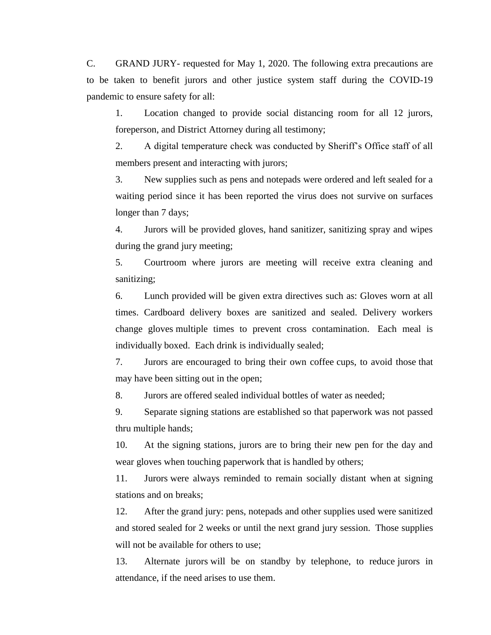C. GRAND JURY- requested for May 1, 2020. The following extra precautions are to be taken to benefit jurors and other justice system staff during the COVID-19 pandemic to ensure safety for all:

1. Location changed to provide social distancing room for all 12 jurors, foreperson, and District Attorney during all testimony;

2. A digital temperature check was conducted by Sheriff's Office staff of all members present and interacting with jurors;

3. New supplies such as pens and notepads were ordered and left sealed for a waiting period since it has been reported the virus does not survive on surfaces longer than 7 days;

4. Jurors will be provided gloves, hand sanitizer, sanitizing spray and wipes during the grand jury meeting;

5. Courtroom where jurors are meeting will receive extra cleaning and sanitizing;

6. Lunch provided will be given extra directives such as: Gloves worn at all times. Cardboard delivery boxes are sanitized and sealed. Delivery workers change gloves multiple times to prevent cross contamination. Each meal is individually boxed. Each drink is individually sealed;

7. Jurors are encouraged to bring their own coffee cups, to avoid those that may have been sitting out in the open;

8. Jurors are offered sealed individual bottles of water as needed;

9. Separate signing stations are established so that paperwork was not passed thru multiple hands;

10. At the signing stations, jurors are to bring their new pen for the day and wear gloves when touching paperwork that is handled by others;

11. Jurors were always reminded to remain socially distant when at signing stations and on breaks;

12. After the grand jury: pens, notepads and other supplies used were sanitized and stored sealed for 2 weeks or until the next grand jury session. Those supplies will not be available for others to use;

13. Alternate jurors will be on standby by telephone, to reduce jurors in attendance, if the need arises to use them.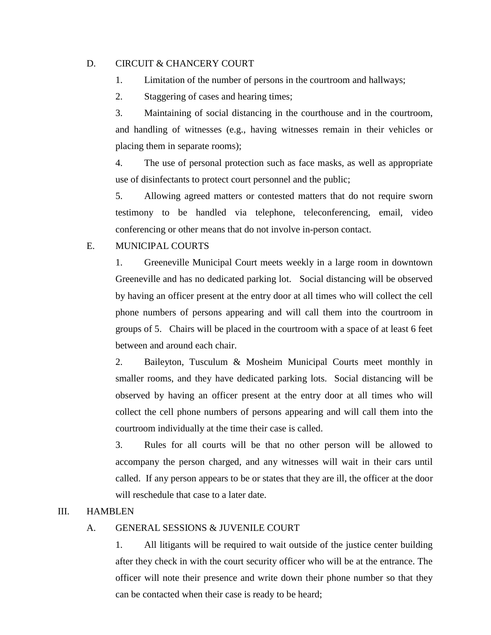#### D. CIRCUIT & CHANCERY COURT

- 1. Limitation of the number of persons in the courtroom and hallways;
- 2. Staggering of cases and hearing times;

3. Maintaining of social distancing in the courthouse and in the courtroom, and handling of witnesses (e.g., having witnesses remain in their vehicles or placing them in separate rooms);

4. The use of personal protection such as face masks, as well as appropriate use of disinfectants to protect court personnel and the public;

5. Allowing agreed matters or contested matters that do not require sworn testimony to be handled via telephone, teleconferencing, email, video conferencing or other means that do not involve in-person contact.

#### E. MUNICIPAL COURTS

1. Greeneville Municipal Court meets weekly in a large room in downtown Greeneville and has no dedicated parking lot. Social distancing will be observed by having an officer present at the entry door at all times who will collect the cell phone numbers of persons appearing and will call them into the courtroom in groups of 5. Chairs will be placed in the courtroom with a space of at least 6 feet between and around each chair.

2. Baileyton, Tusculum & Mosheim Municipal Courts meet monthly in smaller rooms, and they have dedicated parking lots. Social distancing will be observed by having an officer present at the entry door at all times who will collect the cell phone numbers of persons appearing and will call them into the courtroom individually at the time their case is called.

3. Rules for all courts will be that no other person will be allowed to accompany the person charged, and any witnesses will wait in their cars until called. If any person appears to be or states that they are ill, the officer at the door will reschedule that case to a later date.

#### III. HAMBLEN

#### A. GENERAL SESSIONS & JUVENILE COURT

1. All litigants will be required to wait outside of the justice center building after they check in with the court security officer who will be at the entrance. The officer will note their presence and write down their phone number so that they can be contacted when their case is ready to be heard;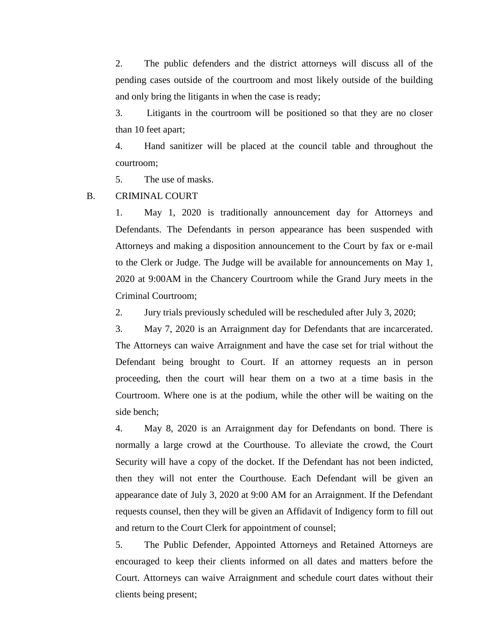2. The public defenders and the district attorneys will discuss all of the pending cases outside of the courtroom and most likely outside of the building and only bring the litigants in when the case is ready;

3. Litigants in the courtroom will be positioned so that they are no closer than 10 feet apart;

4. Hand sanitizer will be placed at the council table and throughout the courtroom;

5. The use of masks.

B. CRIMINAL COURT

1. May 1, 2020 is traditionally announcement day for Attorneys and Defendants. The Defendants in person appearance has been suspended with Attorneys and making a disposition announcement to the Court by fax or e-mail to the Clerk or Judge. The Judge will be available for announcements on May 1, 2020 at 9:00AM in the Chancery Courtroom while the Grand Jury meets in the Criminal Courtroom;

2. Jury trials previously scheduled will be rescheduled after July 3, 2020;

3. May 7, 2020 is an Arraignment day for Defendants that are incarcerated. The Attorneys can waive Arraignment and have the case set for trial without the Defendant being brought to Court. If an attorney requests an in person proceeding, then the court will hear them on a two at a time basis in the Courtroom. Where one is at the podium, while the other will be waiting on the side bench;

4. May 8, 2020 is an Arraignment day for Defendants on bond. There is normally a large crowd at the Courthouse. To alleviate the crowd, the Court Security will have a copy of the docket. If the Defendant has not been indicted, then they will not enter the Courthouse. Each Defendant will be given an appearance date of July 3, 2020 at 9:00 AM for an Arraignment. If the Defendant requests counsel, then they will be given an Affidavit of Indigency form to fill out and return to the Court Clerk for appointment of counsel;

5. The Public Defender, Appointed Attorneys and Retained Attorneys are encouraged to keep their clients informed on all dates and matters before the Court. Attorneys can waive Arraignment and schedule court dates without their clients being present;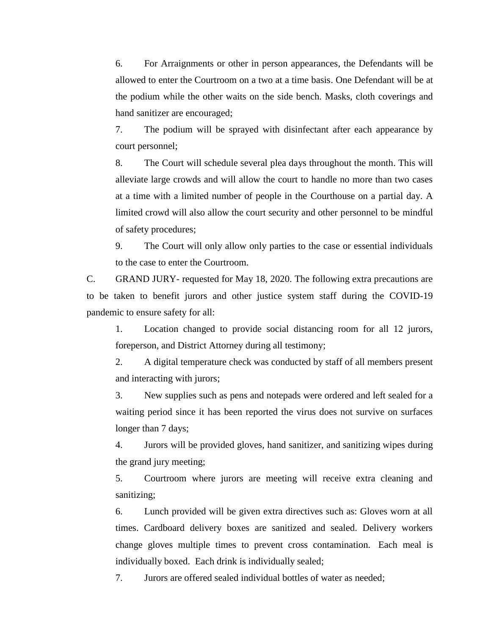6. For Arraignments or other in person appearances, the Defendants will be allowed to enter the Courtroom on a two at a time basis. One Defendant will be at the podium while the other waits on the side bench. Masks, cloth coverings and hand sanitizer are encouraged;

7. The podium will be sprayed with disinfectant after each appearance by court personnel;

8. The Court will schedule several plea days throughout the month. This will alleviate large crowds and will allow the court to handle no more than two cases at a time with a limited number of people in the Courthouse on a partial day. A limited crowd will also allow the court security and other personnel to be mindful of safety procedures;

9. The Court will only allow only parties to the case or essential individuals to the case to enter the Courtroom.

C. GRAND JURY- requested for May 18, 2020. The following extra precautions are to be taken to benefit jurors and other justice system staff during the COVID-19 pandemic to ensure safety for all:

1. Location changed to provide social distancing room for all 12 jurors, foreperson, and District Attorney during all testimony;

2. A digital temperature check was conducted by staff of all members present and interacting with jurors;

3. New supplies such as pens and notepads were ordered and left sealed for a waiting period since it has been reported the virus does not survive on surfaces longer than 7 days;

4. Jurors will be provided gloves, hand sanitizer, and sanitizing wipes during the grand jury meeting;

5. Courtroom where jurors are meeting will receive extra cleaning and sanitizing;

6. Lunch provided will be given extra directives such as: Gloves worn at all times. Cardboard delivery boxes are sanitized and sealed. Delivery workers change gloves multiple times to prevent cross contamination. Each meal is individually boxed. Each drink is individually sealed;

7. Jurors are offered sealed individual bottles of water as needed;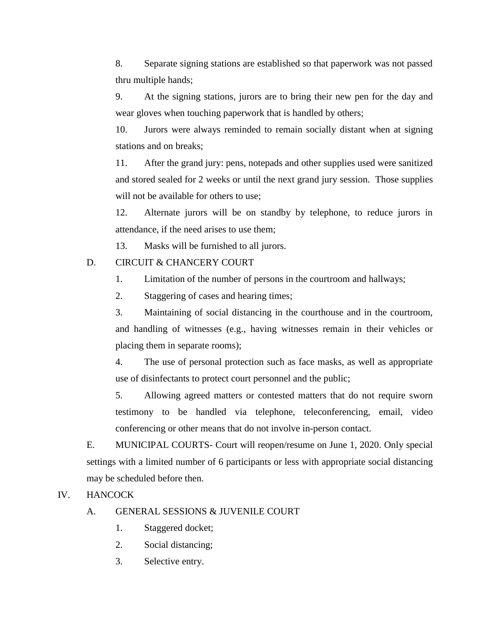8. Separate signing stations are established so that paperwork was not passed thru multiple hands;

9. At the signing stations, jurors are to bring their new pen for the day and wear gloves when touching paperwork that is handled by others;

10. Jurors were always reminded to remain socially distant when at signing stations and on breaks;

11. After the grand jury: pens, notepads and other supplies used were sanitized and stored sealed for 2 weeks or until the next grand jury session. Those supplies will not be available for others to use;

12. Alternate jurors will be on standby by telephone, to reduce jurors in attendance, if the need arises to use them;

13. Masks will be furnished to all jurors.

#### D. CIRCUIT & CHANCERY COURT

- 1. Limitation of the number of persons in the courtroom and hallways;
- 2. Staggering of cases and hearing times;

3. Maintaining of social distancing in the courthouse and in the courtroom, and handling of witnesses (e.g., having witnesses remain in their vehicles or placing them in separate rooms);

4. The use of personal protection such as face masks, as well as appropriate use of disinfectants to protect court personnel and the public;

5. Allowing agreed matters or contested matters that do not require sworn testimony to be handled via telephone, teleconferencing, email, video conferencing or other means that do not involve in-person contact.

E. MUNICIPAL COURTS- Court will reopen/resume on June 1, 2020. Only special settings with a limited number of 6 participants or less with appropriate social distancing may be scheduled before then.

#### IV. HANCOCK

#### A. GENERAL SESSIONS & JUVENILE COURT

- 1. Staggered docket;
- 2. Social distancing;
- 3. Selective entry.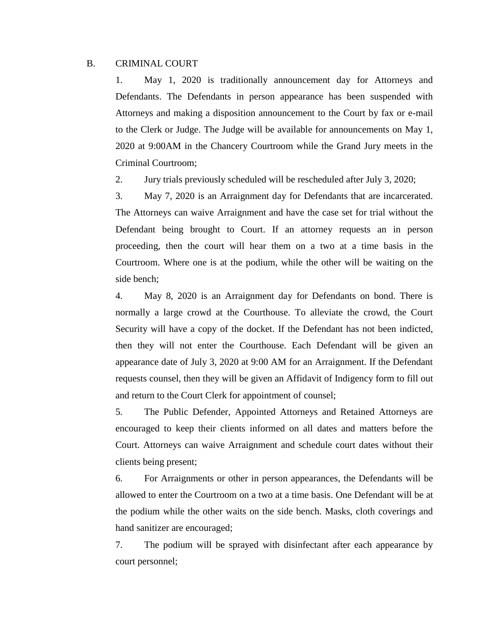#### B. CRIMINAL COURT

1. May 1, 2020 is traditionally announcement day for Attorneys and Defendants. The Defendants in person appearance has been suspended with Attorneys and making a disposition announcement to the Court by fax or e-mail to the Clerk or Judge. The Judge will be available for announcements on May 1, 2020 at 9:00AM in the Chancery Courtroom while the Grand Jury meets in the Criminal Courtroom;

2. Jury trials previously scheduled will be rescheduled after July 3, 2020;

3. May 7, 2020 is an Arraignment day for Defendants that are incarcerated. The Attorneys can waive Arraignment and have the case set for trial without the Defendant being brought to Court. If an attorney requests an in person proceeding, then the court will hear them on a two at a time basis in the Courtroom. Where one is at the podium, while the other will be waiting on the side bench;

4. May 8, 2020 is an Arraignment day for Defendants on bond. There is normally a large crowd at the Courthouse. To alleviate the crowd, the Court Security will have a copy of the docket. If the Defendant has not been indicted, then they will not enter the Courthouse. Each Defendant will be given an appearance date of July 3, 2020 at 9:00 AM for an Arraignment. If the Defendant requests counsel, then they will be given an Affidavit of Indigency form to fill out and return to the Court Clerk for appointment of counsel;

5. The Public Defender, Appointed Attorneys and Retained Attorneys are encouraged to keep their clients informed on all dates and matters before the Court. Attorneys can waive Arraignment and schedule court dates without their clients being present;

6. For Arraignments or other in person appearances, the Defendants will be allowed to enter the Courtroom on a two at a time basis. One Defendant will be at the podium while the other waits on the side bench. Masks, cloth coverings and hand sanitizer are encouraged;

7. The podium will be sprayed with disinfectant after each appearance by court personnel;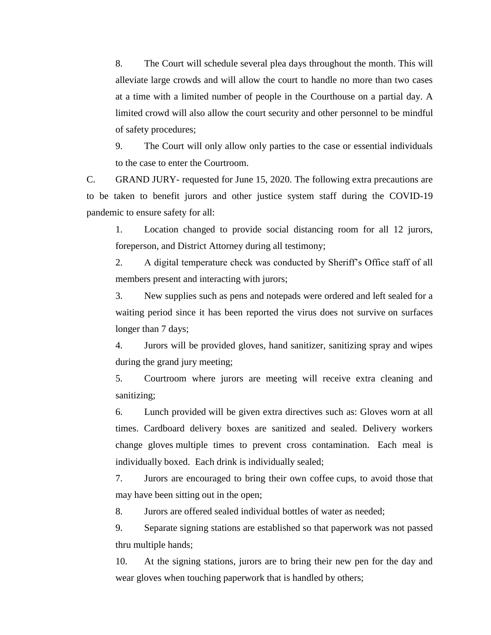8. The Court will schedule several plea days throughout the month. This will alleviate large crowds and will allow the court to handle no more than two cases at a time with a limited number of people in the Courthouse on a partial day. A limited crowd will also allow the court security and other personnel to be mindful of safety procedures;

9. The Court will only allow only parties to the case or essential individuals to the case to enter the Courtroom.

C. GRAND JURY- requested for June 15, 2020. The following extra precautions are to be taken to benefit jurors and other justice system staff during the COVID-19 pandemic to ensure safety for all:

1. Location changed to provide social distancing room for all 12 jurors, foreperson, and District Attorney during all testimony;

2. A digital temperature check was conducted by Sheriff's Office staff of all members present and interacting with jurors;

3. New supplies such as pens and notepads were ordered and left sealed for a waiting period since it has been reported the virus does not survive on surfaces longer than 7 days;

4. Jurors will be provided gloves, hand sanitizer, sanitizing spray and wipes during the grand jury meeting;

5. Courtroom where jurors are meeting will receive extra cleaning and sanitizing;

6. Lunch provided will be given extra directives such as: Gloves worn at all times. Cardboard delivery boxes are sanitized and sealed. Delivery workers change gloves multiple times to prevent cross contamination. Each meal is individually boxed. Each drink is individually sealed;

7. Jurors are encouraged to bring their own coffee cups, to avoid those that may have been sitting out in the open;

8. Jurors are offered sealed individual bottles of water as needed;

9. Separate signing stations are established so that paperwork was not passed thru multiple hands;

10. At the signing stations, jurors are to bring their new pen for the day and wear gloves when touching paperwork that is handled by others;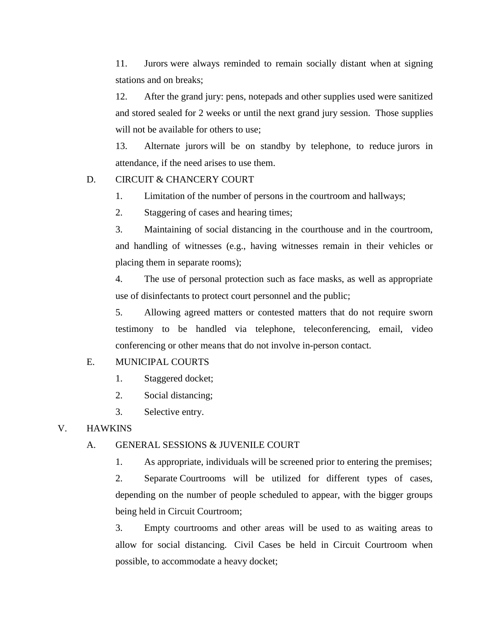11. Jurors were always reminded to remain socially distant when at signing stations and on breaks;

12. After the grand jury: pens, notepads and other supplies used were sanitized and stored sealed for 2 weeks or until the next grand jury session. Those supplies will not be available for others to use;

13. Alternate jurors will be on standby by telephone, to reduce jurors in attendance, if the need arises to use them.

#### D. CIRCUIT & CHANCERY COURT

- 1. Limitation of the number of persons in the courtroom and hallways;
- 2. Staggering of cases and hearing times;

3. Maintaining of social distancing in the courthouse and in the courtroom, and handling of witnesses (e.g., having witnesses remain in their vehicles or placing them in separate rooms);

4. The use of personal protection such as face masks, as well as appropriate use of disinfectants to protect court personnel and the public;

5. Allowing agreed matters or contested matters that do not require sworn testimony to be handled via telephone, teleconferencing, email, video conferencing or other means that do not involve in-person contact.

#### E. MUNICIPAL COURTS

- 1. Staggered docket;
- 2. Social distancing;
- 3. Selective entry.

#### V. HAWKINS

#### A. GENERAL SESSIONS & JUVENILE COURT

1. As appropriate, individuals will be screened prior to entering the premises;

2. Separate Courtrooms will be utilized for different types of cases, depending on the number of people scheduled to appear, with the bigger groups being held in Circuit Courtroom;

3. Empty courtrooms and other areas will be used to as waiting areas to allow for social distancing. Civil Cases be held in Circuit Courtroom when possible, to accommodate a heavy docket;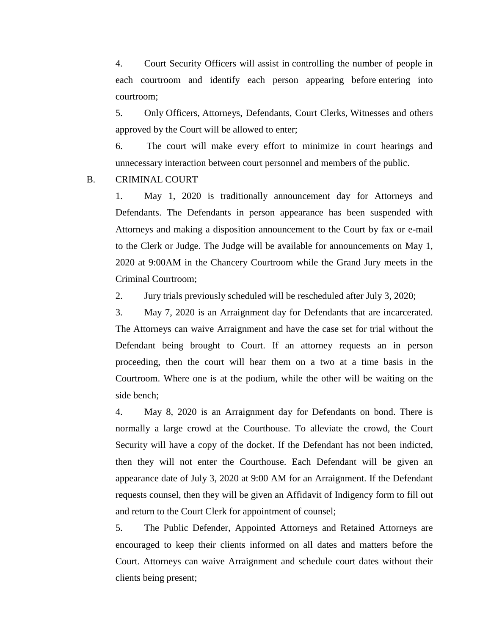4. Court Security Officers will assist in controlling the number of people in each courtroom and identify each person appearing before entering into courtroom;

5. Only Officers, Attorneys, Defendants, Court Clerks, Witnesses and others approved by the Court will be allowed to enter;

6. The court will make every effort to minimize in court hearings and unnecessary interaction between court personnel and members of the public.

#### B. CRIMINAL COURT

1. May 1, 2020 is traditionally announcement day for Attorneys and Defendants. The Defendants in person appearance has been suspended with Attorneys and making a disposition announcement to the Court by fax or e-mail to the Clerk or Judge. The Judge will be available for announcements on May 1, 2020 at 9:00AM in the Chancery Courtroom while the Grand Jury meets in the Criminal Courtroom;

2. Jury trials previously scheduled will be rescheduled after July 3, 2020;

3. May 7, 2020 is an Arraignment day for Defendants that are incarcerated. The Attorneys can waive Arraignment and have the case set for trial without the Defendant being brought to Court. If an attorney requests an in person proceeding, then the court will hear them on a two at a time basis in the Courtroom. Where one is at the podium, while the other will be waiting on the side bench;

4. May 8, 2020 is an Arraignment day for Defendants on bond. There is normally a large crowd at the Courthouse. To alleviate the crowd, the Court Security will have a copy of the docket. If the Defendant has not been indicted, then they will not enter the Courthouse. Each Defendant will be given an appearance date of July 3, 2020 at 9:00 AM for an Arraignment. If the Defendant requests counsel, then they will be given an Affidavit of Indigency form to fill out and return to the Court Clerk for appointment of counsel;

5. The Public Defender, Appointed Attorneys and Retained Attorneys are encouraged to keep their clients informed on all dates and matters before the Court. Attorneys can waive Arraignment and schedule court dates without their clients being present;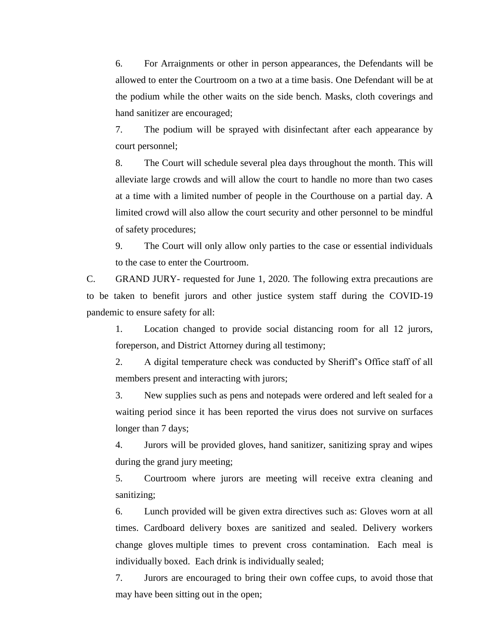6. For Arraignments or other in person appearances, the Defendants will be allowed to enter the Courtroom on a two at a time basis. One Defendant will be at the podium while the other waits on the side bench. Masks, cloth coverings and hand sanitizer are encouraged;

7. The podium will be sprayed with disinfectant after each appearance by court personnel;

8. The Court will schedule several plea days throughout the month. This will alleviate large crowds and will allow the court to handle no more than two cases at a time with a limited number of people in the Courthouse on a partial day. A limited crowd will also allow the court security and other personnel to be mindful of safety procedures;

9. The Court will only allow only parties to the case or essential individuals to the case to enter the Courtroom.

C. GRAND JURY- requested for June 1, 2020. The following extra precautions are to be taken to benefit jurors and other justice system staff during the COVID-19 pandemic to ensure safety for all:

1. Location changed to provide social distancing room for all 12 jurors, foreperson, and District Attorney during all testimony;

2. A digital temperature check was conducted by Sheriff's Office staff of all members present and interacting with jurors;

3. New supplies such as pens and notepads were ordered and left sealed for a waiting period since it has been reported the virus does not survive on surfaces longer than 7 days;

4. Jurors will be provided gloves, hand sanitizer, sanitizing spray and wipes during the grand jury meeting;

5. Courtroom where jurors are meeting will receive extra cleaning and sanitizing;

6. Lunch provided will be given extra directives such as: Gloves worn at all times. Cardboard delivery boxes are sanitized and sealed. Delivery workers change gloves multiple times to prevent cross contamination. Each meal is individually boxed. Each drink is individually sealed;

7. Jurors are encouraged to bring their own coffee cups, to avoid those that may have been sitting out in the open;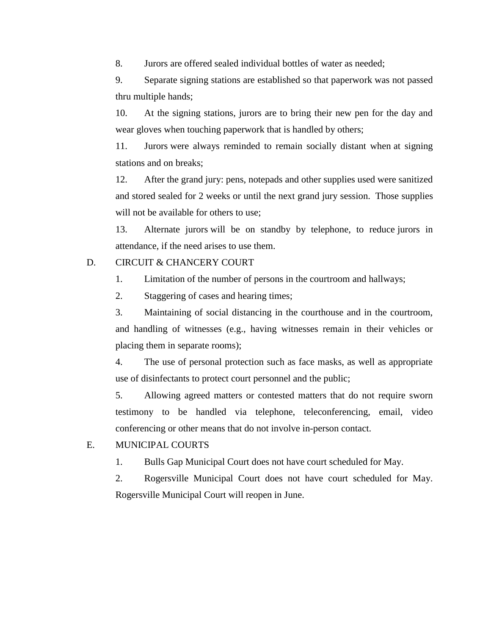8. Jurors are offered sealed individual bottles of water as needed;

9. Separate signing stations are established so that paperwork was not passed thru multiple hands;

10. At the signing stations, jurors are to bring their new pen for the day and wear gloves when touching paperwork that is handled by others;

11. Jurors were always reminded to remain socially distant when at signing stations and on breaks;

12. After the grand jury: pens, notepads and other supplies used were sanitized and stored sealed for 2 weeks or until the next grand jury session. Those supplies will not be available for others to use;

13. Alternate jurors will be on standby by telephone, to reduce jurors in attendance, if the need arises to use them.

#### D. CIRCUIT & CHANCERY COURT

- 1. Limitation of the number of persons in the courtroom and hallways;
- 2. Staggering of cases and hearing times;

3. Maintaining of social distancing in the courthouse and in the courtroom, and handling of witnesses (e.g., having witnesses remain in their vehicles or placing them in separate rooms);

4. The use of personal protection such as face masks, as well as appropriate use of disinfectants to protect court personnel and the public;

5. Allowing agreed matters or contested matters that do not require sworn testimony to be handled via telephone, teleconferencing, email, video conferencing or other means that do not involve in-person contact.

#### E. MUNICIPAL COURTS

1. Bulls Gap Municipal Court does not have court scheduled for May.

2. Rogersville Municipal Court does not have court scheduled for May. Rogersville Municipal Court will reopen in June.